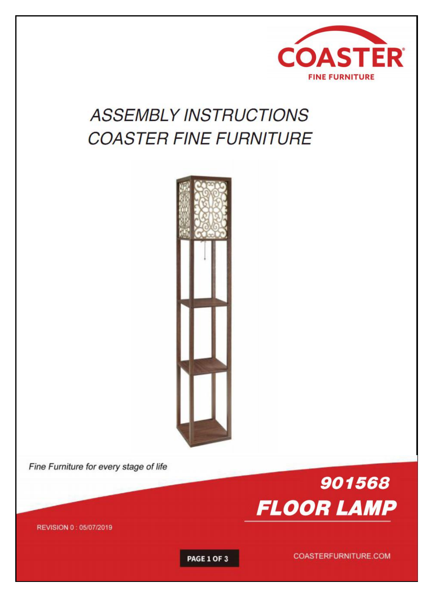

# **ASSEMBLY INSTRUCTIONS COASTER FINE FURNITURE**



Fine Furniture for every stage of life



REVISION 0: 05/07/2019

PAGE 1 OF 3

COASTERFURNITURE.COM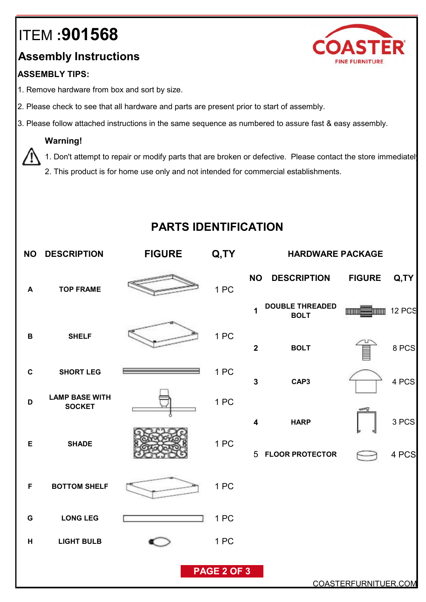## ITEM **:901568**

## **Assembly Instructions**

#### **ASSEMBLY TIPS:**

- 1. Remove hardware from box and sort by size.
- 2. Please check to see that all hardware and parts are present prior to start of assembly.
- 3. Please follow attached instructions in the same sequence as numbered to assure fast & easy assembly.

#### **Warning!**

1. Don't attempt to repair or modify parts that are broken or defective. Please contact the store immediately

2. This product is for home use only and not intended for commercial establishments.

### **PARTS IDENTIFICATION**

| <b>NO</b>            | <b>DESCRIPTION</b>                     | <b>FIGURE</b> | Q,TY        | <b>HARDWARE PACKAGE</b> |                                       |               |               |
|----------------------|----------------------------------------|---------------|-------------|-------------------------|---------------------------------------|---------------|---------------|
| $\blacktriangle$     | <b>TOP FRAME</b>                       |               | 1 PC        | <b>NO</b>               | <b>DESCRIPTION</b>                    | <b>FIGURE</b> | Q,TY          |
|                      |                                        |               |             | $\mathbf{1}$            | <b>DOUBLE THREADED</b><br><b>BOLT</b> | <b>TITLE</b>  | <b>12 PCS</b> |
| $\, {\bf B}$         | <b>SHELF</b>                           |               | 1 PC        | $\mathbf{2}$            | <b>BOLT</b>                           | İ             | 8 PCS         |
| $\mathbf C$          | <b>SHORT LEG</b>                       |               | 1 PC        | $\mathbf{3}$            | CAP3                                  |               | 4 PCS         |
| D                    | <b>LAMP BASE WITH</b><br><b>SOCKET</b> |               | 1PC         |                         |                                       |               |               |
| E                    | <b>SHADE</b>                           |               | 1PC         | $\overline{\mathbf{4}}$ | <b>HARP</b>                           |               | 3 PCS         |
|                      |                                        |               |             |                         | 5 FLOOR PROTECTOR                     |               | 4 PCS         |
| $\mathsf F$          | <b>BOTTOM SHELF</b>                    |               | 1PC         |                         |                                       |               |               |
| G                    | <b>LONG LEG</b>                        |               | 1PC         |                         |                                       |               |               |
| H                    | <b>LIGHT BULB</b>                      |               | 1PC         |                         |                                       |               |               |
|                      |                                        |               | PAGE 2 OF 3 |                         |                                       |               |               |
| COASTERFURNITUER.COM |                                        |               |             |                         |                                       |               |               |

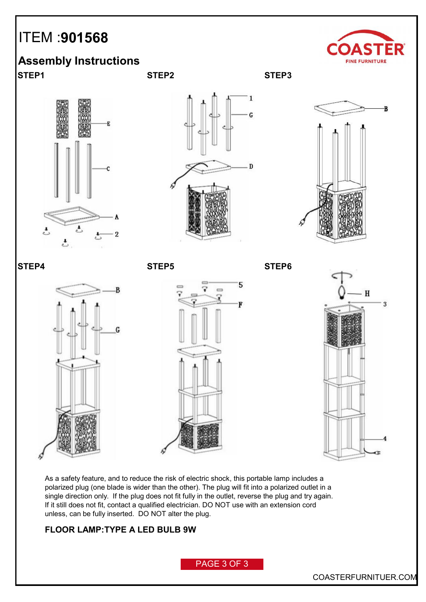## ITEM :**901568**



### **Assembly Instructions**

**STEP1 STEP2 STEP3**















As a safety feature, and to reduce the risk of electric shock, this portable lamp includes a polarized plug (one blade is wider than the other). The plug will fit into a polarized outlet in a single direction only. If the plug does not fit fully in the outlet, reverse the plug and try again. If it still does not fit, contact a qualified electrician. DO NOT use with an extension cord unless, can be fully inserted. DO NOT alter the plug.

#### **FLOOR LAMP:TYPE A LED BULB 9W**

PAGE 3 OF 3

COASTERFURNITUER.COM